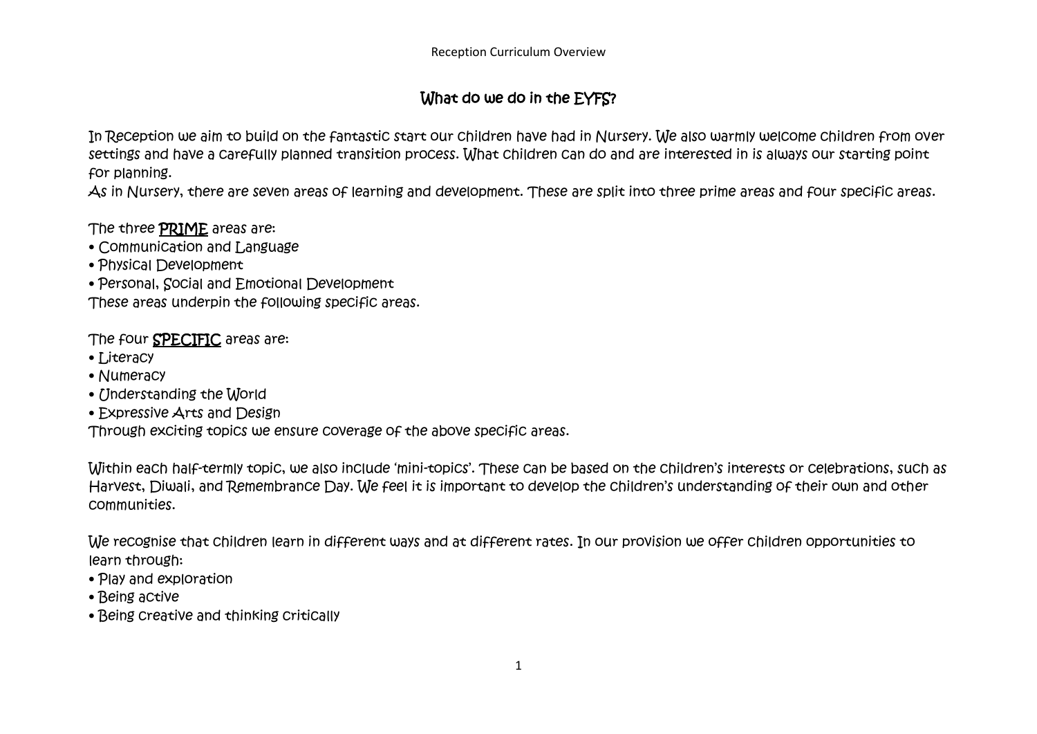## What do we do in the EYFS?

In Reception we aim to build on the fantastic start our children have had in Nursery. We also warmly welcome children from over settings and have a carefully planned transition process. What children can do and are interested in is always our starting point for planning.

As in Nursery, there are seven areas of learning and development. These are split into three prime areas and four specific areas.

The three PRIME areas are:

- Communication and Language
- Physical Development
- Personal, Social and Emotional Development

These areas underpin the following specific areas.

The four **SPECIFIC** areas are:

- Literacy
- Numeracy
- Understanding the World
- Expressive Arts and Design

Through exciting topics we ensure coverage of the above specific areas.

Within each half-termly topic, we also include 'mini-topics'. These can be based on the children's interests or celebrations, such as Harvest, Diwali, and Remembrance Day. We feel it is important to develop the children's understanding of their own and other communities.

We recognise that children learn in different ways and at different rates. In our provision we offer children opportunities to learn through:

- Play and exploration
- Being active
- Being creative and thinking critically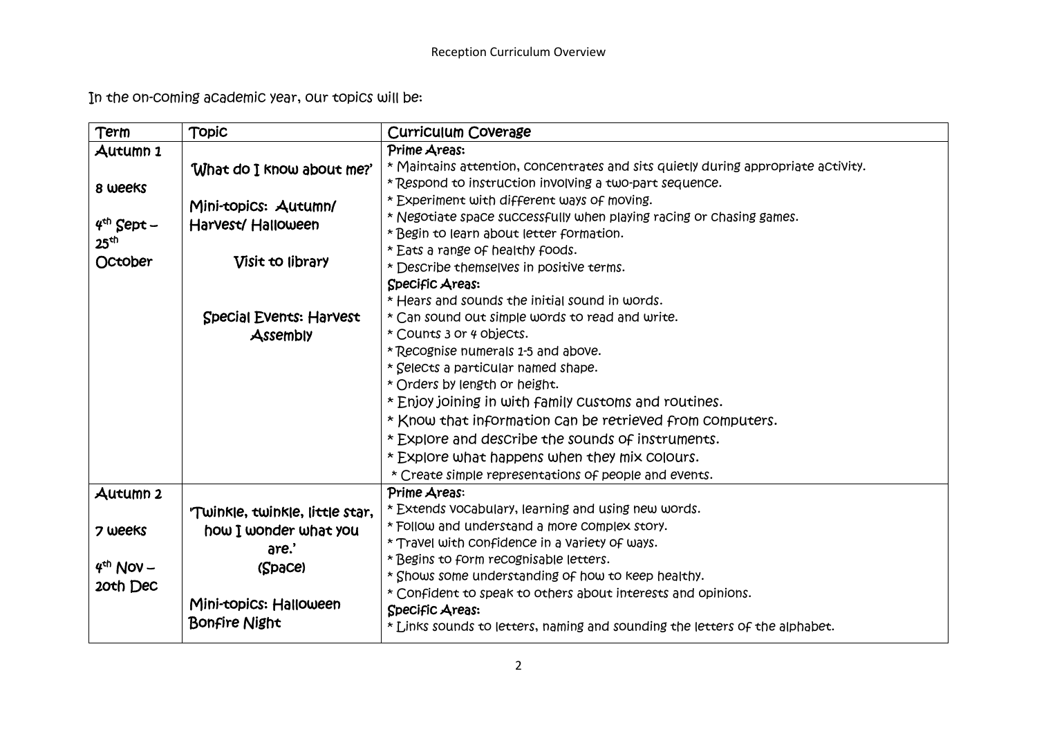In the on-coming academic year, our topics will be:

| Term                    | <b>Topic</b>                   | Curriculum Coverage                                                               |
|-------------------------|--------------------------------|-----------------------------------------------------------------------------------|
| Autumn 1                |                                | Prime Areas:                                                                      |
|                         | "What do I know about me?"     | * Maintains attention, concentrates and sits quietly during appropriate activity. |
| 8 weeks                 |                                | * Respond to instruction involving a two-part sequence.                           |
|                         | Mini-topics: Autumn/           | * Experiment with different ways of moving.                                       |
| $4th$ Sept –            | Harvest/Halloween              | * Negotiate space successfully when playing racing or chasing games.              |
| 25 <sup>th</sup>        |                                | * Begin to learn about letter formation.                                          |
| October                 | Visit to library               | * Eats a range of healthy foods.                                                  |
|                         |                                | * Describe themselves in positive terms.                                          |
|                         |                                | Specific Areas:                                                                   |
|                         |                                | * Hears and sounds the initial sound in words.                                    |
|                         | <b>Special Events: Harvest</b> | * Can sound out simple words to read and write.                                   |
|                         | Assembly                       | * Counts 3 or 4 objects.                                                          |
|                         |                                | * Recognise numerals 1-5 and above.                                               |
|                         |                                | * Selects a particular named shape.                                               |
|                         |                                | * Orders by length or height.                                                     |
|                         |                                | * Enjoy joining in with family customs and routines.                              |
|                         |                                | * Know that information can be retrieved from computers.                          |
|                         |                                | * Explore and describe the sounds of instruments.                                 |
|                         |                                | * Explore what happens when they mix colours.                                     |
|                         |                                | * Create simple representations of people and events.                             |
| Autumn 2                |                                | Prime Areas:                                                                      |
|                         | Twinkle, twinkle, little star, | * Extends vocabulary, learning and using new words.                               |
| 7 weeks                 | how I wonder what you          | * Follow and understand a more complex story.                                     |
|                         | are.'                          | * Travel with confidence in a variety of ways.                                    |
| $4th$ Nov –<br>20th Dec | (Space)                        | * Begins to form recognisable letters.                                            |
|                         |                                | * Shows some understanding of how to keep healthy.                                |
|                         | Mini-topics: Halloween         | * Confident to speak to others about interests and opinions.                      |
|                         | <b>Bonfire Night</b>           | Specific Areas:                                                                   |
|                         |                                | * Links sounds to letters, naming and sounding the letters of the alphabet.       |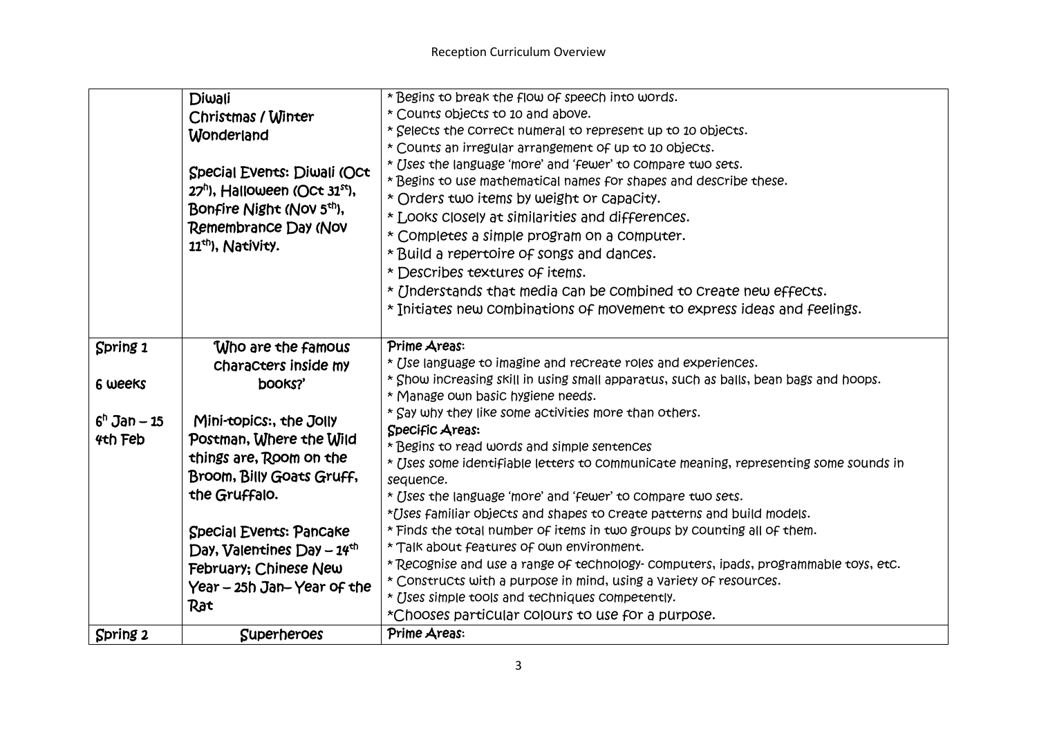|                | Diwali                                                                                         | * Begins to break the flow of speech into words.                                      |
|----------------|------------------------------------------------------------------------------------------------|---------------------------------------------------------------------------------------|
|                | Christmas / Winter                                                                             | * Counts objects to 10 and above.                                                     |
|                | Wonderland                                                                                     | * Selects the correct numeral to represent up to 10 objects.                          |
|                |                                                                                                | * Counts an irregular arrangement of up to 10 objects.                                |
|                |                                                                                                | * Uses the language 'more' and 'fewer' to compare two sets.                           |
|                | Special Events: Diwali (Oct                                                                    | * Begins to use mathematical names for shapes and describe these.                     |
|                | 27 <sup>h</sup> ), Halloween (Oct 31 <sup>st</sup> ),                                          | * Orders two items by weight or capacity.                                             |
|                | Bonfire Night (Nov 5 <sup>th</sup> ),<br>Remembrance Day (Nov<br>11 <sup>th</sup> ), Nativity. | * Looks closely at similarities and differences.                                      |
|                |                                                                                                | * Completes a simple program on a computer.                                           |
|                |                                                                                                | * Build a repertoire of songs and dances.                                             |
|                |                                                                                                | * Describes textures of items.                                                        |
|                |                                                                                                | * Understands that media can be combined to create new effects.                       |
|                |                                                                                                | * Initiates new combinations of movement to express ideas and feelings.               |
|                |                                                                                                |                                                                                       |
| Spring 1       | Who are the famous                                                                             | Prime Areas:                                                                          |
|                | Characters inside my                                                                           | * Use language to imagine and recreate roles and experiences.                         |
|                |                                                                                                | * Show increasing skill in using small apparatus, such as balls, bean bags and hoops. |
| 6 weeks        | books?'                                                                                        | * Manage own basic hygiene needs.                                                     |
|                |                                                                                                | * Say why they like some activities more than others.                                 |
| $6^n$ Jan – 15 | Mini-topics:, the Jolly                                                                        | Specific Areas:                                                                       |
| 4th Feb        | Postman, Where the Wild                                                                        | * Begins to read words and simple sentences                                           |
|                | things are, Room on the                                                                        | * Uses some identifiable letters to communicate meaning, representing some sounds in  |
|                | Broom, Billy Goats Gruff,                                                                      | sequence.                                                                             |
|                | the Gruffalo.                                                                                  | * Uses the language 'more' and 'fewer' to compare two sets.                           |
|                |                                                                                                | *Uses familiar objects and shapes to create patterns and build models.                |
|                | <b>Special Events: Pancake</b>                                                                 | * Finds the total number of items in two groups by counting all of them.              |
|                | Day, Valentines Day $-14th$                                                                    | * Talk about features of own environment.                                             |
|                | February; Chinese New                                                                          | *Recognise and use a range of technology-computers, ipads, programmable toys, etc.    |
|                | Year – 25h Jan–Year of the                                                                     | * Constructs with a purpose in mind, using a variety of resources.                    |
|                | Rat                                                                                            | * Uses simple tools and techniques competently.                                       |
|                |                                                                                                | *Chooses particular colours to use for a purpose.                                     |
| Spring 2       | <b>Superheroes</b>                                                                             | Prime Areas:                                                                          |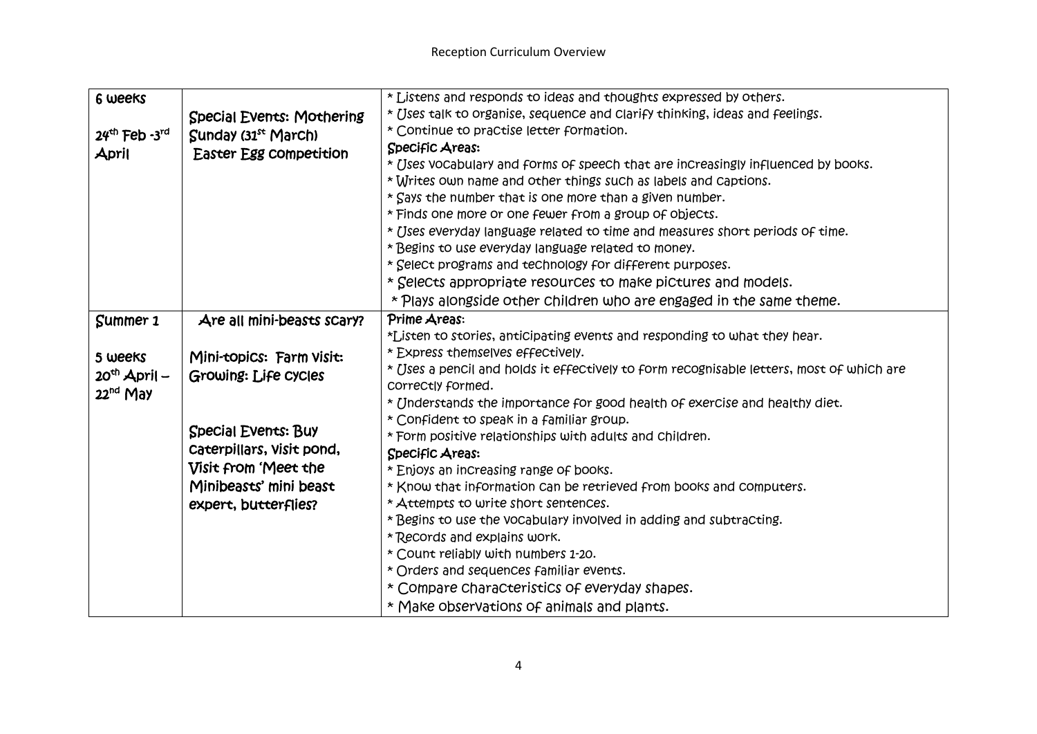| 6 weeks                     |                                  | * Listens and responds to ideas and thoughts expressed by others.                        |
|-----------------------------|----------------------------------|------------------------------------------------------------------------------------------|
|                             | <b>Special Events: Mothering</b> | * Uses talk to organise, sequence and clarify thinking, ideas and feelings.              |
| $24th$ Feb -3 <sup>rd</sup> | Sunday (31 <sup>st</sup> March)  | * Continue to practise letter formation.                                                 |
| April                       | Easter Egg competition           | Specific Areas:                                                                          |
|                             |                                  | * Uses vocabulary and forms of speech that are increasingly influenced by books.         |
|                             |                                  | * Writes own name and other things such as labels and captions.                          |
|                             |                                  | * Says the number that is one more than a given number.                                  |
|                             |                                  | * Finds one more or one fewer from a group of objects.                                   |
|                             |                                  | * [Jses everyday language related to time and measures short periods of time.            |
|                             |                                  | * Begins to use everyday language related to money.                                      |
|                             |                                  | * Select programs and technology for different purposes.                                 |
|                             |                                  | * Selects appropriate resources to make pictures and models.                             |
|                             |                                  | * Plays alongside other children who are engaged in the same theme.                      |
| Summer 1                    | Are all mini-beasts scary?       | Prime Areas:                                                                             |
|                             |                                  | *Listen to stories, anticipating events and responding to what they hear.                |
| 5 weeks                     | Mini-topics: Farm Visit:         | * Express themselves effectively.                                                        |
| $20th$ April –              | Growing: Life Cycles             | * Uses a pencil and holds it effectively to form recognisable letters, most of which are |
| 22 <sup>nd</sup> May        |                                  | COrreCtly formed.                                                                        |
|                             |                                  | * Understands the importance for good health of exercise and healthy diet.               |
|                             | <b>Special Events: Buy</b>       | * Confident to speak in a familiar group.                                                |
|                             | Caterpillars, Visit pond,        | * Form positive relationships with adults and children.                                  |
|                             |                                  | Specific Areas:                                                                          |
|                             | Visit from 'Meet the             | * Enjoys an increasing range of books.                                                   |
|                             | Minibeasts' mini beast           | * Know that information can be retrieved from books and computers.                       |
|                             | expert, butterflies?             | * Attempts to write short sentences.                                                     |
|                             |                                  | * Begins to use the vocabulary involved in adding and subtracting.                       |
|                             |                                  | * Records and explains work.                                                             |
|                             |                                  | * Count reliably with numbers 1-20.                                                      |
|                             |                                  | * Orders and sequences familiar events.                                                  |
|                             |                                  | * Compare characteristics of everyday shapes.                                            |
|                             |                                  | * Make observations of animals and plants.                                               |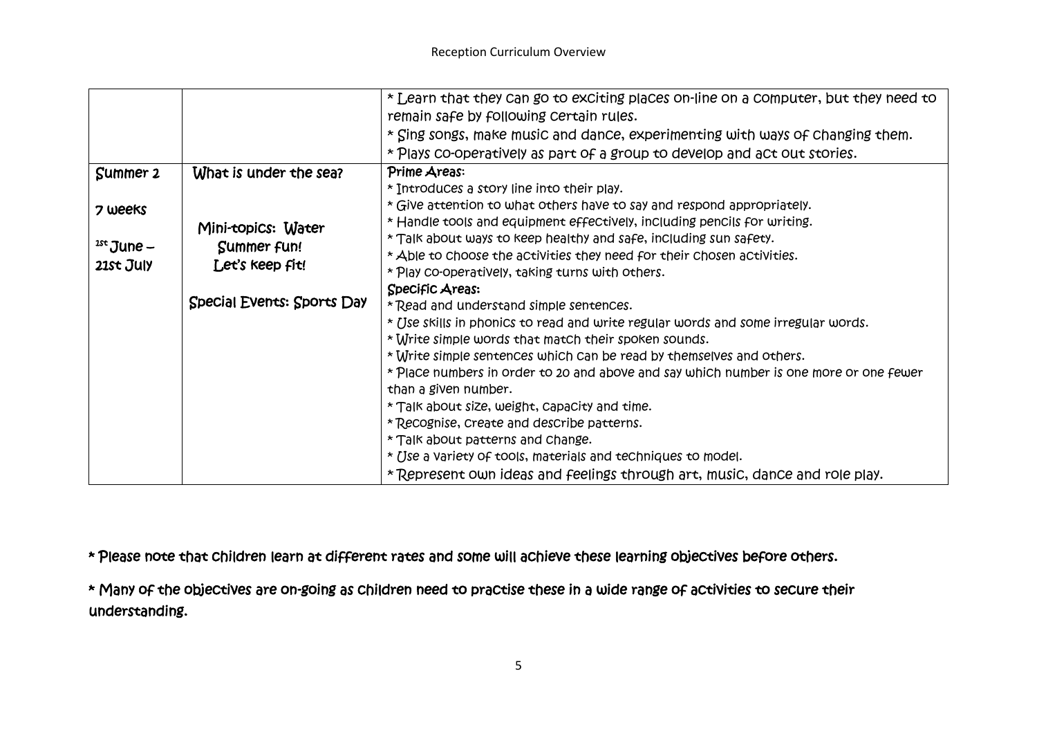|              |                            | * Learn that they can go to exciting places on-line on a computer, but they need to    |
|--------------|----------------------------|----------------------------------------------------------------------------------------|
|              |                            | remain safe by following certain rules.                                                |
|              |                            | * Sing songs, make music and dance, experimenting with ways of changing them.          |
|              |                            | * Plays co-operatively as part of a group to develop and act out stories.              |
| Summer 2     | What is under the sea?     | Prime Areas:                                                                           |
|              |                            | * Introduces a story line into their play.                                             |
| 7 weeks      |                            | * Give attention to what others have to say and respond appropriately.                 |
|              | Mini-topics: Water         | * Handle tools and equipment effectively, including pencils for writing.               |
| $1st$ June – | Summer fun!                | * Talk about ways to keep healthy and safe, including sun safety.                      |
| 21st July    | Let's keep fit!            | * Able to choose the activities they need for their chosen activities.                 |
|              |                            | * Play co-operatively, taking turns with others.                                       |
|              |                            | Specific Areas:                                                                        |
|              | Special Events: Sports Day | * Read and understand simple sentences.                                                |
|              |                            | * Use skills in phonics to read and write regular words and some irregular words.      |
|              |                            | * Write simple words that match their spoken sounds.                                   |
|              |                            | * Write simple sentences which can be read by themselves and others.                   |
|              |                            | * Place numbers in order to 20 and above and say which number is one more or one fewer |
|              |                            | than a given number.                                                                   |
|              |                            | * Talk about size, weight, capacity and time.                                          |
|              |                            | * Recognise, create and describe patterns.                                             |
|              |                            | * Talk about patterns and change.                                                      |
|              |                            | * Use a variety of tools, materials and techniques to model.                           |
|              |                            | *Represent own ideas and feelings through art, music, dance and role play.             |

\* Please note that children learn at different rates and some will achieve these learning objectives before others.

\* Many of the objectives are on-going as children need to practise these in a wide range of activities to secure their understanding.